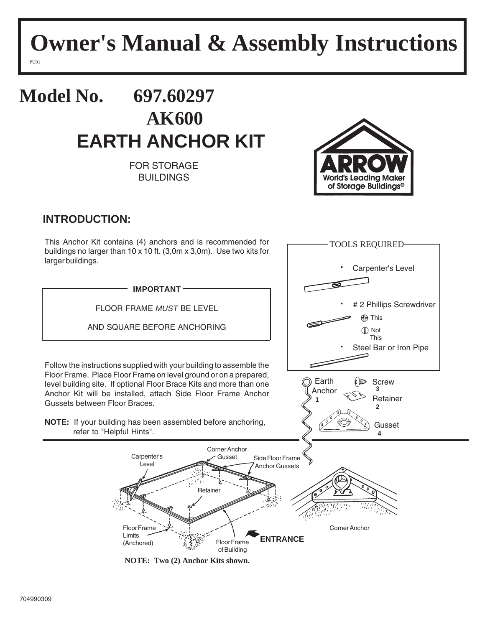# **Owner's Manual & Assembly Instructions**

PU01

## **Model No. 697.60297 AK600 EARTH ANCHOR KIT**

FOR STORAGE BUILDINGS



TOOLS REQUIRED

### **INTRODUCTION:**

This Anchor Kit contains (4) anchors and is recommended for buildings no larger than 10 x 10 ft. (3,0m x 3,0m). Use two kits for larger buildings.



**NOTE: Two (2) Anchor Kits shown.**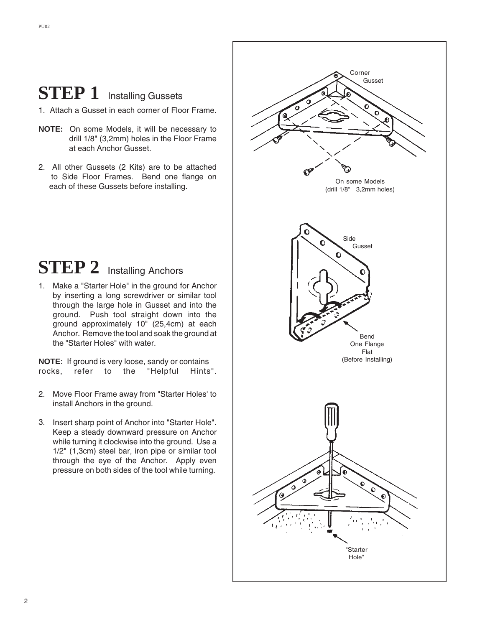### **STEP 1** Installing Gussets

- 1. Attach a Gusset in each corner of Floor Frame.
- **NOTE:** On some Models, it will be necessary to drill 1/8" (3,2mm) holes in the Floor Frame at each Anchor Gusset.
- 2. All other Gussets (2 Kits) are to be attached to Side Floor Frames. Bend one flange on each of these Gussets before installing.

### **STEP 2** Installing Anchors

1. Make a "Starter Hole" in the ground for Anchor by inserting a long screwdriver or similar tool through the large hole in Gusset and into the ground. Push tool straight down into the ground approximately 10" (25,4cm) at each Anchor. Remove the tool and soak the ground at the "Starter Holes" with water.

**NOTE:** If ground is very loose, sandy or contains rocks, refer to the "Helpful Hints".

- 2. Move Floor Frame away from "Starter Holes' to install Anchors in the ground.
- 3. Insert sharp point of Anchor into "Starter Hole". Keep a steady downward pressure on Anchor while turning it clockwise into the ground. Use a 1/2" (1,3cm) steel bar, iron pipe or similar tool through the eye of the Anchor. Apply even pressure on both sides of the tool while turning.

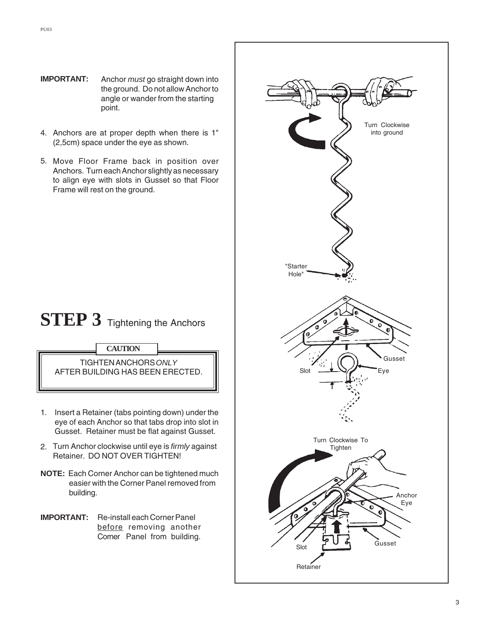- **IMPORTANT:** Anchor *must* go straight down into the ground. Do not allow Anchor to angle or wander from the starting point.
- 4. Anchors are at proper depth when there is 1" (2,5cm) space under the eye as shown.
- 5. Move Floor Frame back in position over Anchors. Turn each Anchor slightly as necessary to align eye with slots in Gusset so that Floor Frame will rest on the ground.

### **STEP 3** Tightening the Anchors



TIGHTEN ANCHORS *ONLY* AFTER BUILDING HAS BEEN ERECTED.

- 1. Insert a Retainer (tabs pointing down) under the eye of each Anchor so that tabs drop into slot in Gusset. Retainer must be flat against Gusset.
- 2. Turn Anchor clockwise until eye is *firmly* against Retainer. DO NOT OVER TIGHTEN!
- **NOTE:** Each Corner Anchor can be tightened much easier with the Corner Panel removed from building.
- **IMPORTANT:** Re-install each Corner Panel before removing another Corner Panel from building.